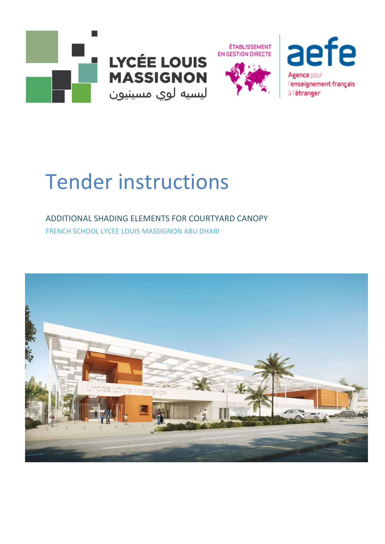







# **Tender instructions**

# ADDITIONAL SHADING ELEMENTS FOR COURTYARD CANOPY FRENCH SCHOOL LYCEE LOUIS MASSIGNON ABU DHABI

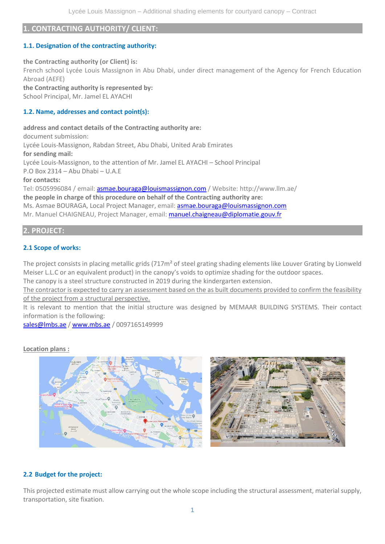# **1. CONTRACTING AUTHORITY/ CLIENT:**

# **1.1. Designation of the contracting authority:**

**the Contracting authority (or Client) is:** French school Lycée Louis Massignon in Abu Dhabi, under direct management of the Agency for French Education Abroad (AEFE)

**the Contracting authority is represented by:** School Principal, Mr. Jamel EL AYACHI

# **1.2. Name, addresses and contact point(s):**

**address and contact details of the Contracting authority are:** document submission: Lycée Louis-Massignon, Rabdan Street, Abu Dhabi, United Arab Emirates **for sending mail:** Lycée Louis-Massignon, to the attention of Mr. Jamel EL AYACHI – School Principal P.O Box 2314 – Abu Dhabi – U.A.E **for contacts:** Tel: 0505996084 / email: [asmae.bouraga@louismassignon.com](mailto:asmae.bouraga@louismassignon.com) / Website[: http://www.llm.ae/](http://www.llm.ae/) **the people in charge of this procedure on behalf of the Contracting authority are:** Ms. Asmae BOURAGA, Local Project Manager, email: **asmae.bouraga@louismassignon.com** 

Mr. Manuel CHAIGNEAU, Project Manager, email: [manuel.chaigneau@diplomatie.gouv.fr](mailto:manuel.chaigneau@diplomatie.gouv.fr)

# **2. PROJECT:**

# **2.1 Scope of works:**

The project consists in placing metallic grids (717m<sup>2</sup> of steel grating shading elements like Louver Grating by Lionweld Meiser L.L.C or an equivalent product) in the canopy's voids to optimize shading for the outdoor spaces.

The canopy is a steel structure constructed in 2019 during the kindergarten extension.

The contractor is expected to carry an assessment based on the as built documents provided to confirm the feasibility of the project from a structural perspective.

It is relevant to mention that the initial structure was designed by MEMAAR BUILDING SYSTEMS. Their contact information is the following:

[sales@lmbs.ae](mailto:sales@lmbs.ae) / [www.mbs.ae](http://www.mbs.ae/) / 0097165149999

#### **Location plans :**



# **2.2 Budget for the project:**

This projected estimate must allow carrying out the whole scope including the structural assessment, material supply, transportation, site fixation.